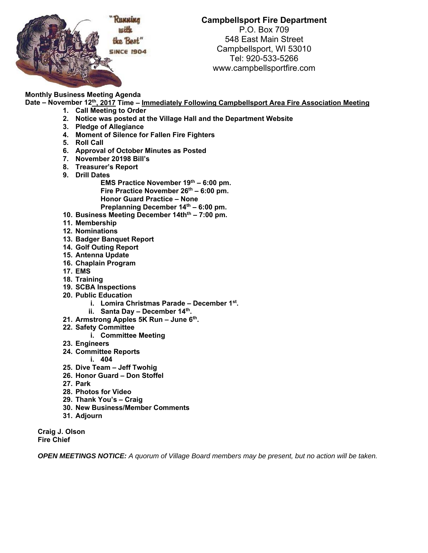

**Campbellsport Fire Department** 

P.O. Box 709 548 East Main Street Campbellsport, WI 53010 Tel: 920-533-5266 www.campbellsportfire.com

**Monthly Business Meeting Agenda Date – November 12th, 2017 Time – Immediately Following Campbellsport Area Fire Association Meeting** 

- **1. Call Meeting to Order** 
	- **2. Notice was posted at the Village Hall and the Department Website**
	- **3. Pledge of Allegiance**
	- **4. Moment of Silence for Fallen Fire Fighters**
	- **5. Roll Call**
	- **6. Approval of October Minutes as Posted**
	- **7. November 20198 Bill's**
	- **8. Treasurer's Report**
	- **9. Drill Dates** 
		- EMS Practice November 19<sup>th</sup> 6:00 pm. Fire Practice November 26<sup>th</sup> – 6:00 pm. **Honor Guard Practice – None**  Preplanning December 14<sup>th</sup> - 6:00 pm.
	- 10. Business Meeting December 14th<sup>th</sup> 7:00 pm.
	- **11. Membership**
	- **12. Nominations**
	- **13. Badger Banquet Report**
	- **14. Golf Outing Report**
	- **15. Antenna Update**
	- **16. Chaplain Program**
	- **17. EMS**
	- **18. Training**
	- **19. SCBA Inspections**
	- **20. Public Education** 
		- **i. Lomira Christmas Parade December 1st.**
		- **ii. Santa Day December 14th.**
	- **21. Armstrong Apples 5K Run June 6th.**
	- **22. Safety Committee** 
		- **i. Committee Meeting**
	- **23. Engineers**
	- **24. Committee Reports** 
		- **i. 404**
	- **25. Dive Team Jeff Twohig**
	- **26. Honor Guard Don Stoffel**
	- **27. Park**
	- **28. Photos for Video**
	- **29. Thank You's Craig**
	- **30. New Business/Member Comments**
	- **31. Adjourn**

**Craig J. Olson Fire Chief** 

*OPEN MEETINGS NOTICE: A quorum of Village Board members may be present, but no action will be taken.*